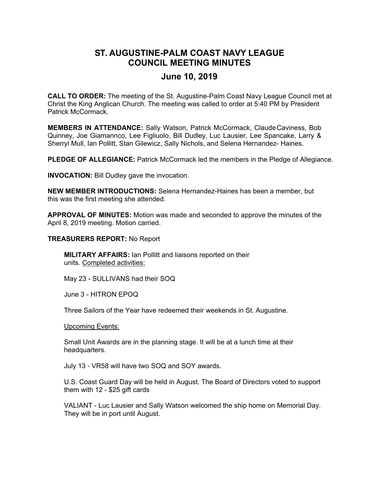## **ST. AUGUSTINE-PALM COAST NAVY LEAGUE COUNCIL MEETING MINUTES**

## **June 10, 2019**

**CALL TO ORDER:** The meeting of the St. Augustine-Palm Coast Navy League Council met at Christ the King Anglican Church. The meeting was called to order at 5:40 PM by President Patrick McCormack.

**MEMBERS IN ATTENDANCE:** Sally Watson, Patrick McCormack, Claude Caviness, Bob Quinney, Joe Giamannco, Lee Figliuolo, Bill Dudley, Luc Lausier, Lee Spancake, Larry & Sherryl Mull, Ian Pollitt, Stan Gilewicz, Sally Nichols, and Selena Hernandez- Haines.

**PLEDGE OF ALLEGIANCE:** Patrick McCormack led the members in the Pledge of Allegiance.

**INVOCATION:** Bill Dudley gave the invocation.

**NEW MEMBER INTRODUCTIONS:** Selena Hernandez-Haines has been a member, but this was the first meeting she attended.

**APPROVAL OF MINUTES:** Motion was made and seconded to approve the minutes of the April 8, 2019 meeting. Motion carried.

**TREASURERS REPORT:** No Report

**MILITARY AFFAIRS:** Ian Pollitt and liaisons reported on their units. Completed activities:

May 23 - SULLIVANS had their SOQ

June 3 - HITRON EPOQ

Three Sailors of the Year have redeemed their weekends in St. Augustine.

Upcoming Events:

Small Unit Awards are in the planning stage. It will be at a lunch time at their headquarters.

July 13 - VR58 will have two SOQ and SOY awards.

U.S. Coast Guard Day will be held in August. The Board of Directors voted to support them with 12 - \$25 gift cards

VALIANT - Luc Lausier and Sally Watson welcomed the ship home on Memorial Day. They will be in port until August.